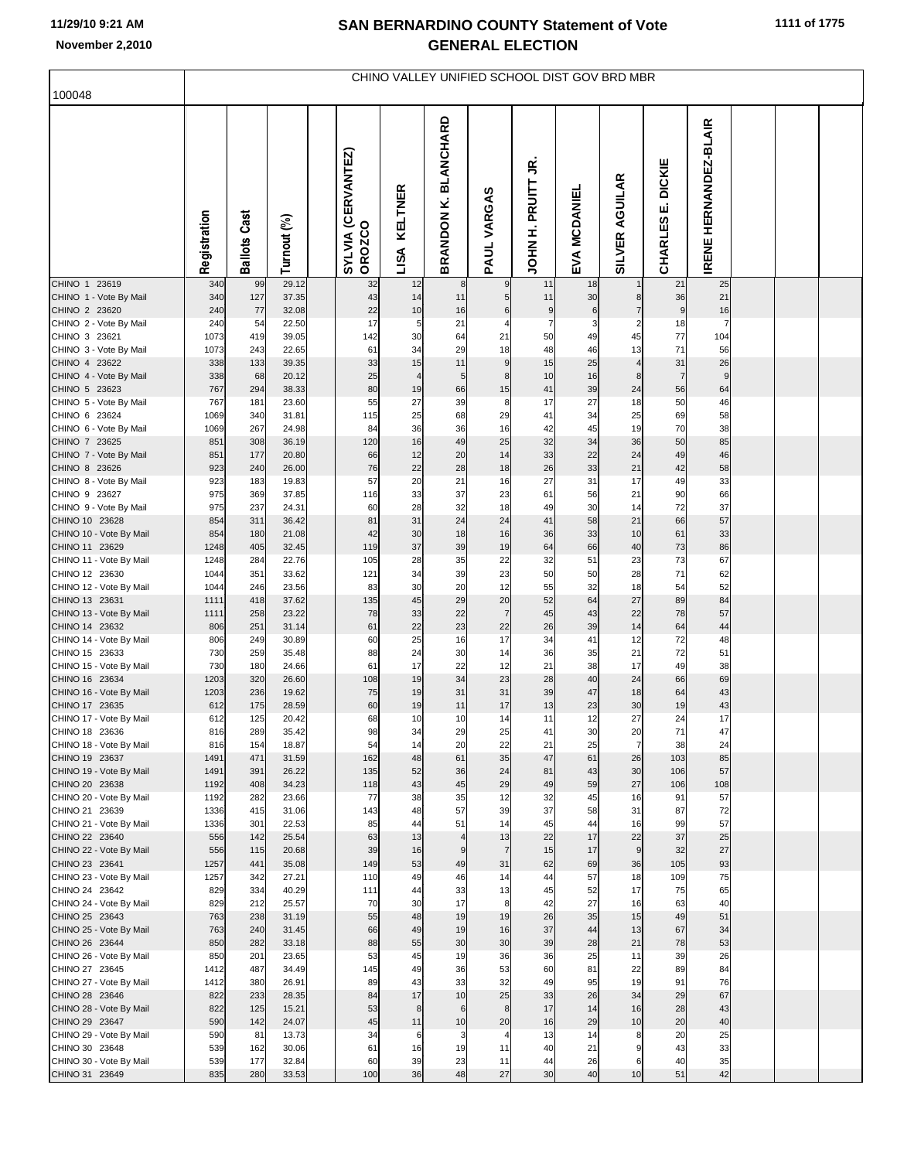| 100048                                    | CHINO VALLEY UNIFIED SCHOOL DIST GOV BRD MBR |                     |                |  |                                     |                 |                                          |                |                            |                         |                                 |                                       |                                  |  |  |
|-------------------------------------------|----------------------------------------------|---------------------|----------------|--|-------------------------------------|-----------------|------------------------------------------|----------------|----------------------------|-------------------------|---------------------------------|---------------------------------------|----------------------------------|--|--|
|                                           | Registration                                 | <b>Ballots Cast</b> | Turnout (%)    |  | SYLVIA (CERVANTEZ)<br><b>OROZCO</b> | KELTNER<br>LISA | <b>BLANCHARD</b><br>×.<br><b>BRANDON</b> | VARGAS<br>PAUL | Ξ,<br>PRUITT<br>Ì,<br>NHOL | <b>MCDANIEI</b><br>EVA  | <b>AGUILAR</b><br><b>SILVER</b> | <b>DICKIE</b><br>щі<br><b>CHARLES</b> | HERNANDEZ-BLAIR<br><b>IRENET</b> |  |  |
| CHINO 1 23619<br>CHINO 1 - Vote By Mail   | 340<br>340                                   | 99<br>127           | 29.12<br>37.35 |  | 32<br>43                            | 12<br>14        | 8<br>11                                  | 9<br>5         | 11<br>11                   | 18<br>30                | 8                               | 21<br>36                              | 25<br>21                         |  |  |
| CHINO 2 23620                             | 240                                          | 77                  | 32.08          |  | 22                                  | 10              | 16                                       | 6              | 9                          | 6                       | $\overline{7}$                  | 9                                     | 16                               |  |  |
| CHINO 2 - Vote By Mail                    | 240                                          | 54                  | 22.50          |  | 17                                  | 5               | 21                                       | 4              | $\overline{7}$             | $\overline{\mathbf{3}}$ | $\overline{2}$                  | 18                                    | $\overline{7}$                   |  |  |
| CHINO 3 23621<br>CHINO 3 - Vote By Mail   | 1073<br>1073                                 | 419<br>243          | 39.05<br>22.65 |  | 142<br>61                           | 30<br>34        | 64<br>29                                 | 21<br>18       | 50<br>48                   | 49<br>46                | 45<br>13                        | 77<br>71                              | 104<br>56                        |  |  |
| CHINO 4 23622                             | 338                                          | 133                 | 39.35          |  | 33                                  | 15              | 11                                       | 9              | 15                         | 25                      | $\overline{4}$                  | 31                                    | 26                               |  |  |
| CHINO 4 - Vote By Mail                    | 338                                          | 68                  | 20.12          |  | 25                                  | $\overline{4}$  | 5 <sub>5</sub>                           | 8              | 10                         | 16                      | 8                               | $\overline{7}$                        | 9                                |  |  |
| CHINO 5 23623<br>CHINO 5 - Vote By Mail   | 767<br>767                                   | 294<br>181          | 38.33<br>23.60 |  | 80<br>55                            | 19<br>27        | 66<br>39                                 | 15<br>8        | 41<br>17                   | 39<br>27                | 24<br>18                        | 56<br>50                              | 64<br>46                         |  |  |
| CHINO 6 23624                             | 1069                                         | 340                 | 31.81          |  | 115                                 | 25              | 68                                       | 29             | 41                         | 34                      | 25                              | 69                                    | 58                               |  |  |
| CHINO 6 - Vote By Mail                    | 1069                                         | 267                 | 24.98          |  | 84                                  | 36              | 36                                       | 16             | 42                         | 45                      | 19                              | 70                                    | 38                               |  |  |
| CHINO 7 23625                             | 851                                          | 308                 | 36.19          |  | 120                                 | 16              | 49                                       | 25             | 32                         | 34                      | 36                              | 50                                    | 85                               |  |  |
| CHINO 7 - Vote By Mail<br>CHINO 8 23626   | 851<br>923                                   | 177<br>240          | 20.80<br>26.00 |  | 66<br>76                            | 12<br>22        | 20<br>28                                 | 14<br>18       | 33<br>26                   | 22<br>33                | 24<br>21                        | 49<br>42                              | 46<br>58                         |  |  |
| CHINO 8 - Vote By Mail                    | 923                                          | 183                 | 19.83          |  | 57                                  | 20              | 21                                       | 16             | 27                         | 31                      | 17                              | 49                                    | 33                               |  |  |
| CHINO 9 23627                             | 975                                          | 369                 | 37.85          |  | 116                                 | 33              | 37                                       | 23             | 61                         | 56                      | 21                              | 90                                    | 66                               |  |  |
| CHINO 9 - Vote By Mail<br>CHINO 10 23628  | 975<br>854                                   | 237<br>311          | 24.31<br>36.42 |  | 60<br>81                            | 28<br>31        | 32<br>24                                 | 18<br>24       | 49<br>41                   | 30<br>58                | 14<br>21                        | 72<br>66                              | 37<br>57                         |  |  |
| CHINO 10 - Vote By Mail                   | 854                                          | 180                 | 21.08          |  | 42                                  | 30              | 18                                       | 16             | 36                         | 33                      | 10                              | 61                                    | 33                               |  |  |
| CHINO 11 23629                            | 1248                                         | 405                 | 32.45          |  | 119                                 | 37              | 39                                       | 19             | 64                         | 66                      | 40                              | 73                                    | 86                               |  |  |
| CHINO 11 - Vote By Mail                   | 1248                                         | 284                 | 22.76          |  | 105                                 | 28              | 35                                       | 22             | 32                         | 51                      | 23                              | 73                                    | 67                               |  |  |
| CHINO 12 23630<br>CHINO 12 - Vote By Mail | 1044<br>1044                                 | 351<br>246          | 33.62<br>23.56 |  | 121<br>83                           | 34<br>30        | 39<br>20                                 | 23<br>12       | 50<br>55                   | 50<br>32                | 28<br>18                        | 71<br>54                              | 62<br>52                         |  |  |
| CHINO 13 23631                            | 1111                                         | 418                 | 37.62          |  | 135                                 | 45              | 29                                       | 20             | 52                         | 64                      | 27                              | 89                                    | 84                               |  |  |
| CHINO 13 - Vote By Mail                   | 1111                                         | 258                 | 23.22          |  | 78                                  | 33              | 22                                       | $\overline{7}$ | 45                         | 43                      | 22                              | 78                                    | 57                               |  |  |
| CHINO 14 23632                            | 806                                          | 251                 | 31.14          |  | 61                                  | 22              | 23                                       | 22             | 26                         | 39                      | 14                              | 64                                    | 44                               |  |  |
| CHINO 14 - Vote By Mail<br>CHINO 15 23633 | 806<br>730                                   | 249<br>259          | 30.89<br>35.48 |  | 60<br>88                            | 25<br>24        | 16<br>30                                 | 17<br>14       | 34<br>36                   | 41<br>35                | 12<br>21                        | 72<br>72                              | 48<br>51                         |  |  |
| CHINO 15 - Vote By Mail                   | 730                                          | 180                 | 24.66          |  | 61                                  | 17              | 22                                       | 12             | 21                         | 38                      | 17                              | 49                                    | 38                               |  |  |
| CHINO 16 23634                            | 1203                                         | 320                 | 26.60          |  | 108                                 | 19              | 34                                       | 23             | 28                         | 40                      | 24                              | 66                                    | 69                               |  |  |
| CHINO 16 - Vote By Mail<br>CHINO 17 23635 | 1203<br>612                                  | 236<br>175          | 19.62<br>28.59 |  | 75<br>60                            | 19<br>19        | 31<br>11                                 | 31<br>17       | 39<br>13                   | 47<br>23                | 18<br>30                        | 64<br>19                              | 43<br>43                         |  |  |
| CHINO 17 - Vote By Mail                   | 612                                          | 125                 | 20.42          |  | 68                                  | 10              | 10                                       | 14             | 11                         | 12                      | 27                              | 24                                    | 17                               |  |  |
| CHINO 18 23636                            | 816                                          | 289                 | 35.42          |  | 98                                  | 34              | 29                                       | 25             |                            | 30                      | 20                              | 71                                    | 47                               |  |  |
| CHINO 18 - Vote By Mail                   | 816                                          | 154                 | 18.87          |  | 54                                  | 14              | 20                                       | 22             | 21                         | 25                      | $\overline{7}$                  | 38                                    | 24                               |  |  |
| CHINO 19 23637<br>CHINO 19 - Vote By Mail | 1491<br>1491                                 | 471<br>391          | 31.59<br>26.22 |  | 162<br>135                          | 48<br>52        | 61<br>36                                 | 35<br>24       | 47<br>81                   | 61<br>43                | 26<br>30                        | 103<br>106                            | 85<br>57                         |  |  |
| CHINO 20 23638                            | 1192                                         | 408                 | 34.23          |  | 118                                 | 43              | 45                                       | 29             | 49                         | 59                      | 27                              | 106                                   | 108                              |  |  |
| CHINO 20 - Vote By Mail                   | 1192                                         | 282                 | 23.66          |  | 77                                  | 38              | 35                                       | 12             | 32                         | 45                      | 16                              | 91                                    | 57                               |  |  |
| CHINO 21 23639<br>CHINO 21 - Vote By Mail | 1336<br>1336                                 | 415<br>301          | 31.06<br>22.53 |  | 143<br>85                           | 48<br>44        | 57<br>51                                 | 39<br>14       | 37<br>45                   | 58<br>44                | 31<br>16                        | 87<br>99                              | 72<br>57                         |  |  |
| CHINO 22 23640                            | 556                                          | 142                 | 25.54          |  | 63                                  | 13              | $\overline{4}$                           | 13             | 22                         | 17                      | 22                              | 37                                    | 25                               |  |  |
| CHINO 22 - Vote By Mail                   | 556                                          | 115                 | 20.68          |  | 39                                  | 16              | 9                                        | $\overline{7}$ | 15                         | 17                      | $\boldsymbol{9}$                | 32                                    | 27                               |  |  |
| CHINO 23 23641                            | 1257                                         | 441                 | 35.08          |  | 149                                 | 53              | 49                                       | 31             | 62                         | 69                      | 36                              | 105                                   | 93                               |  |  |
| CHINO 23 - Vote By Mail<br>CHINO 24 23642 | 1257<br>829                                  | 342<br>334          | 27.21<br>40.29 |  | 110<br>111                          | 49<br>44        | 46<br>33                                 | 14<br>13       | 44<br>45                   | 57<br>52                | 18<br>17                        | 109<br>75                             | 75<br>65                         |  |  |
| CHINO 24 - Vote By Mail                   | 829                                          | 212                 | 25.57          |  | 70                                  | 30              | 17                                       | 8              | 42                         | 27                      | 16                              | 63                                    | 40                               |  |  |
| CHINO 25 23643                            | 763                                          | 238                 | 31.19          |  | 55                                  | 48              | 19                                       | 19             | 26                         | 35                      | 15                              | 49                                    | 51                               |  |  |
| CHINO 25 - Vote By Mail                   | 763                                          | 240<br>282          | 31.45          |  | 66                                  | 49<br>55        | 19<br>30                                 | 16<br>30       | 37<br>39                   | 44<br>28                | 13<br>21                        | 67<br>78                              | 34                               |  |  |
| CHINO 26 23644<br>CHINO 26 - Vote By Mail | 850<br>850                                   | 201                 | 33.18<br>23.65 |  | 88<br>53                            | 45              | 19                                       | 36             | 36                         | 25                      | 11                              | 39                                    | 53<br>26                         |  |  |
| CHINO 27 23645                            | 1412                                         | 487                 | 34.49          |  | 145                                 | 49              | 36                                       | 53             | 60                         | 81                      | 22                              | 89                                    | 84                               |  |  |
| CHINO 27 - Vote By Mail                   | 1412                                         | 380                 | 26.91          |  | 89                                  | 43              | 33                                       | 32             | 49                         | 95                      | 19                              | 91                                    | 76                               |  |  |
| CHINO 28 23646                            | 822<br>822                                   | 233<br>125          | 28.35          |  | 84<br>53                            | 17<br>8         | 10<br>6                                  | 25<br>8        | 33<br>17                   | 26<br>14                | 34<br>16                        | 29<br>28                              | 67                               |  |  |
| CHINO 28 - Vote By Mail<br>CHINO 29 23647 | 590                                          | 142                 | 15.21<br>24.07 |  | 45                                  | 11              | 10                                       | 20             | 16                         | 29                      | 10                              | 20                                    | 43<br>40                         |  |  |
| CHINO 29 - Vote By Mail                   | 590                                          | 81                  | 13.73          |  | 34                                  | 6               | $\overline{\mathbf{3}}$                  | 4              | 13                         | 14                      | 8                               | 20                                    | 25                               |  |  |
| CHINO 30 23648                            | 539                                          | 162                 | 30.06          |  | 61                                  | 16              | 19                                       | 11             | 40                         | 21                      | 9                               | 43                                    | 33                               |  |  |
| CHINO 30 - Vote By Mail                   | 539                                          | 177                 | 32.84          |  | 60                                  | 39              | 23                                       | 11             | 44                         | 26                      | 6                               | 40                                    | 35                               |  |  |
| CHINO 31 23649                            | 835                                          | 280                 | 33.53          |  | 100                                 | 36              | 48                                       | 27             | 30                         | 40                      | 10                              | 51                                    | 42                               |  |  |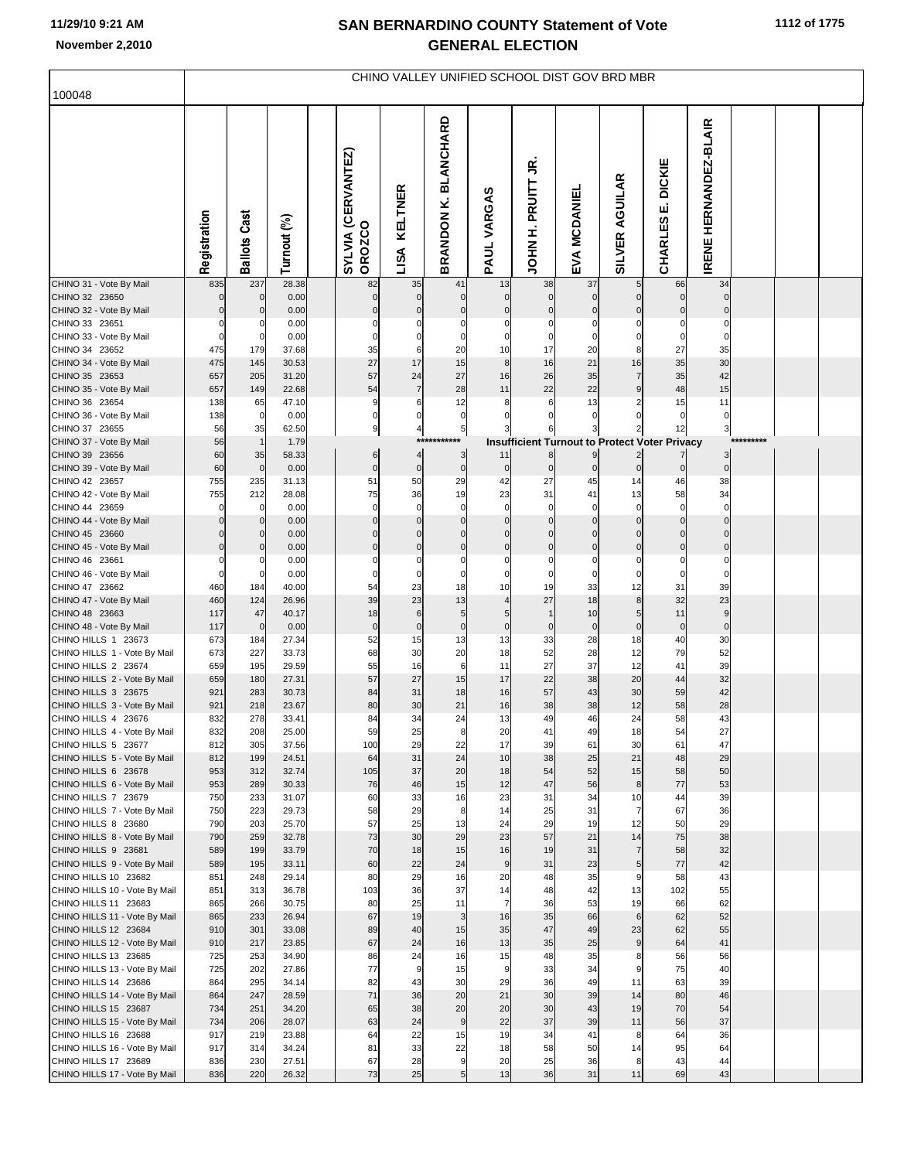| 100048                                                | CHINO VALLEY UNIFIED SCHOOL DIST GOV BRD MBR |                         |                |  |                                     |                              |                                      |                      |                           |                        |                         |                                                      |                                 |  |  |  |
|-------------------------------------------------------|----------------------------------------------|-------------------------|----------------|--|-------------------------------------|------------------------------|--------------------------------------|----------------------|---------------------------|------------------------|-------------------------|------------------------------------------------------|---------------------------------|--|--|--|
|                                                       |                                              |                         |                |  |                                     |                              |                                      |                      |                           |                        |                         |                                                      |                                 |  |  |  |
|                                                       | Registration                                 | <b>Ballots Cast</b>     | Turnout (%)    |  | SYLVIA (CERVANTEZ)<br><b>OROZCO</b> | <b>KELTNER</b><br>LISA       | <b>BLANCHARD</b><br><b>BRANDONK.</b> | PAUL VARGAS          | g<br>PRUITT<br>Ì,<br>NHOL | <b>MCDANIEL</b><br>ЕYА | AGUILAR<br>SILVER       | <b>DICKIE</b><br>ші<br>CHARLES                       | HERNANDEZ-BLAIR<br><b>IRENE</b> |  |  |  |
| CHINO 31 - Vote By Mail<br>CHINO 32 23650             | 835<br>$\Omega$                              | 237<br>$\mathbf 0$      | 28.38<br>0.00  |  | 82<br>$\Omega$                      | 35<br>$\overline{0}$         | 41<br>$\overline{0}$                 | 13<br>$\overline{0}$ | 38<br>$\mathbf 0$         | 37<br>$\overline{0}$   | 5<br>$\mathbf 0$        | 66<br>$\overline{0}$                                 | 34<br>$\mathbf 0$               |  |  |  |
| CHINO 32 - Vote By Mail                               |                                              | $\mathbf 0$             | 0.00           |  |                                     | $\mathbf 0$                  | $\Omega$                             | $\Omega$             | 0                         | 0                      | 0                       | 0                                                    | $\mathbf 0$                     |  |  |  |
| CHINO 33 23651                                        |                                              |                         | 0.00           |  |                                     |                              |                                      |                      |                           | 0                      | 0                       | 0                                                    | 0                               |  |  |  |
| CHINO 33 - Vote By Mail<br>CHINO 34 23652             | 475                                          | $\mathbf 0$             | 0.00<br>37.68  |  | 35                                  | 0<br>6                       | $\Omega$<br>20                       | $\Omega$<br>10       | 17                        | 0                      | 0<br>8                  | $\mathbf 0$<br>27                                    | 0                               |  |  |  |
| CHINO 34 - Vote By Mail                               | 475                                          | 179<br>145              | 30.53          |  | 27                                  | 17                           | 15                                   | 8                    | 16                        | 20<br>21               | 16                      | 35                                                   | 35<br>30                        |  |  |  |
| CHINO 35 23653                                        | 657                                          | 205                     | 31.20          |  | 57                                  | 24                           | 27                                   | 16                   | 26                        | 35                     | 7                       | 35                                                   | 42                              |  |  |  |
| CHINO 35 - Vote By Mail                               | 657                                          | 149                     | 22.68          |  | 54                                  | $\overline{7}$               | 28                                   | 11                   | 22                        | 22                     | 9                       | 48                                                   | 15                              |  |  |  |
| CHINO 36 23654                                        | 138                                          | 65                      | 47.10          |  | 9                                   | 6                            | 12                                   | 8                    | 6                         | 13                     | 2                       | 15                                                   | 11                              |  |  |  |
| CHINO 36 - Vote By Mail<br>CHINO 37 23655             | 138<br>56                                    | $\overline{0}$<br>35    | 0.00<br>62.50  |  | $\overline{0}$<br>9                 | 0<br>$\overline{\mathbf{4}}$ | 0<br>5                               |                      | 0                         | 0                      | 0                       | $\mathbf 0$<br>12                                    | $\bf{0}$<br>3                   |  |  |  |
| CHINO 37 - Vote By Mail                               | 56                                           | $\mathbf{1}$            | 1.79           |  |                                     | ***                          |                                      |                      |                           |                        |                         | <b>Insufficient Turnout to Protect Voter Privacy</b> |                                 |  |  |  |
| CHINO 39 23656                                        | 60                                           | 35                      | 58.33          |  | 6                                   | 4                            | 3                                    | 11                   | $\mathbf{8}$              | 9                      | $\overline{\mathbf{c}}$ | 7                                                    | $\overline{\mathbf{3}}$         |  |  |  |
| CHINO 39 - Vote By Mail                               | 60                                           | $\mathbf 0$             | 0.00           |  | $\overline{0}$                      | $\overline{0}$               | $\overline{0}$                       | $\overline{0}$       | $\mathbf 0$               | $\overline{0}$         | 0                       | $\overline{0}$                                       | $\pmb{0}$                       |  |  |  |
| CHINO 42 23657                                        | 755                                          | 235                     | 31.13          |  | 51                                  | 50                           | 29                                   | 42                   | 27                        | 45                     | 14                      | 46                                                   | 38                              |  |  |  |
| CHINO 42 - Vote By Mail<br>CHINO 44 23659             | 755<br>$\Omega$                              | 212<br>$\mathbf 0$      | 28.08<br>0.00  |  | 75<br>$\mathbf 0$                   | 36<br>$\mathbf 0$            | 19<br>$\mathbf 0$                    | 23<br>$\mathbf 0$    | 31<br>$\Omega$            | 41<br>$\mathbf 0$      | 13<br>$\Omega$          | 58<br>$\mathbf 0$                                    | 34<br>$\mathbf 0$               |  |  |  |
| CHINO 44 - Vote By Mail                               |                                              | $\mathbf{0}$            | 0.00           |  |                                     | $\mathbf 0$                  | $\Omega$                             | $\mathbf 0$          | $\Omega$                  | $\mathbf 0$            | 0                       | $\mathbf 0$                                          | $\pmb{0}$                       |  |  |  |
| CHINO 45 23660                                        |                                              | $\mathbf{0}$            | 0.00           |  |                                     | $\mathbf 0$                  | $\Omega$                             | $\Omega$             | $\Omega$                  | $\mathbf 0$            | 0                       | $\mathbf 0$                                          | $\mathbf 0$                     |  |  |  |
| CHINO 45 - Vote By Mail                               |                                              | $\overline{0}$          | 0.00           |  | $\Omega$                            | $\mathbf 0$                  | $\Omega$                             | 0                    | $\Omega$                  | $\overline{0}$         | 0                       | $\overline{0}$                                       | $\pmb{0}$                       |  |  |  |
| CHINO 46 23661<br>CHINO 46 - Vote By Mail             |                                              | $\Omega$<br>$\mathbf 0$ | 0.00<br>0.00   |  |                                     | 0                            | $\Omega$                             | $\Omega$             | 0                         | $\Omega$<br>$\Omega$   | 0<br>0                  | $\Omega$<br>$\mathbf 0$                              | 0<br>0                          |  |  |  |
| CHINO 47 23662                                        | 460                                          | 184                     | 40.00          |  | 54                                  | 23                           | 18                                   | 10                   | 19                        | 33                     | 12                      | 31                                                   | 39                              |  |  |  |
| CHINO 47 - Vote By Mail                               | 460                                          | 124                     | 26.96          |  | 39                                  | 23                           | 13                                   | $\overline{4}$       | 27                        | 18                     | $\bf8$                  | 32                                                   | 23                              |  |  |  |
| CHINO 48 23663                                        | 117                                          | 47                      | 40.17          |  | 18                                  | 6                            | 5                                    | 5                    |                           | 10                     | 5                       | 11                                                   | $\boldsymbol{9}$                |  |  |  |
| CHINO 48 - Vote By Mail<br>CHINO HILLS 1 23673        | 117                                          | $\mathbf 0$             | 0.00           |  | $\mathbf 0$<br>52                   | $\pmb{0}$<br>15              | $\mathbf 0$<br>13                    | $\mathbf 0$          | $\Omega$<br>33            | $\mathbf 0$            | $\mathbf 0$             | $\mathbf 0$<br>40                                    | $\pmb{0}$<br>30                 |  |  |  |
| CHINO HILLS 1 - Vote By Mail                          | 673<br>673                                   | 184<br>227              | 27.34<br>33.73 |  | 68                                  | 30                           | 20                                   | 13<br>18             | 52                        | 28<br>28               | 18<br>12                | 79                                                   | 52                              |  |  |  |
| CHINO HILLS 2 23674                                   | 659                                          | 195                     | 29.59          |  | 55                                  | 16                           | 6                                    | 11                   | 27                        | 37                     | 12                      | 41                                                   | 39                              |  |  |  |
| CHINO HILLS 2 - Vote By Mail                          | 659                                          | 180                     | 27.31          |  | 57                                  | 27                           | 15                                   | 17                   | 22                        | 38                     | 20                      | 44                                                   | 32                              |  |  |  |
| CHINO HILLS 3 23675                                   | 921                                          | 283                     | 30.73          |  | 84                                  | 31                           | 18                                   | 16                   | 57                        | 43                     | 30                      | 59                                                   | 42                              |  |  |  |
| CHINO HILLS 3 - Vote By Mail<br>CHINO HILLS 4 23676   | 921<br>832                                   | 218<br>278              | 23.67<br>33.41 |  | 80<br>84                            | 30<br>34                     | 21<br>24                             | 16<br>13             | 38<br>49                  | 38<br>46               | 12<br>24                | 58<br>58                                             | 28<br>43                        |  |  |  |
| CHINO HILLS 4 - Vote By Mail                          | 832                                          | 208                     | 25.00          |  | 59                                  | 25                           | ୪                                    | 20                   | 41                        | 49                     | 18                      | 54                                                   | 27                              |  |  |  |
| CHINO HILLS 5 23677                                   | 812                                          | 305                     | 37.56          |  | 100                                 | 29                           | 22                                   | 17                   | 39                        | 61                     | 30                      | 61                                                   | 47                              |  |  |  |
| CHINO HILLS 5 - Vote By Mail                          | 812                                          | 199                     | 24.51          |  | 64                                  | 31                           | 24                                   | 10                   | 38                        | 25                     | 21                      | 48                                                   | 29                              |  |  |  |
| CHINO HILLS 6 23678<br>CHINO HILLS 6 - Vote By Mail   | 953<br>953                                   | 312<br>289              | 32.74<br>30.33 |  | 105<br>76                           | 37<br>46                     | 20<br>15                             | 18<br>12             | 54<br>47                  | 52<br>56               | 15<br>$\bf8$            | 58<br>$77$                                           | 50<br>53                        |  |  |  |
| CHINO HILLS 7 23679                                   | 750                                          | 233                     | 31.07          |  | 60                                  | 33                           | 16                                   | 23                   | 31                        | 34                     | 10                      | 44                                                   | 39                              |  |  |  |
| CHINO HILLS 7 - Vote By Mail                          | 750                                          | 223                     | 29.73          |  | 58                                  | 29                           | 8 <sup>1</sup>                       | 14                   | 25                        | 31                     | $\overline{7}$          | 67                                                   | 36                              |  |  |  |
| CHINO HILLS 8 23680                                   | 790                                          | 203                     | 25.70          |  | 57                                  | 25                           | 13                                   | 24                   | 29                        | 19                     | 12                      | 50                                                   | 29                              |  |  |  |
| CHINO HILLS 8 - Vote By Mail<br>CHINO HILLS 9 23681   | 790<br>589                                   | 259<br>199              | 32.78<br>33.79 |  | 73<br>70                            | 30<br>18                     | 29<br>15                             | 23<br>16             | 57<br>19                  | 21<br>31               | 14<br>$\overline{7}$    | 75<br>58                                             | 38<br>32                        |  |  |  |
| CHINO HILLS 9 - Vote By Mail                          | 589                                          | 195                     | 33.11          |  | 60                                  | 22                           | 24                                   | 9                    | 31                        | 23                     | $\sqrt{5}$              | $77$                                                 | 42                              |  |  |  |
| CHINO HILLS 10 23682                                  | 851                                          | 248                     | 29.14          |  | 80                                  | 29                           | 16                                   | 20                   | 48                        | 35                     | 9                       | 58                                                   | 43                              |  |  |  |
| CHINO HILLS 10 - Vote By Mail                         | 851                                          | 313                     | 36.78          |  | 103                                 | 36                           | 37                                   | 14                   | 48                        | 42                     | 13                      | 102                                                  | 55                              |  |  |  |
| CHINO HILLS 11 23683                                  | 865<br>865                                   | 266                     | 30.75          |  | 80<br>67                            | 25<br>19                     | 11<br>$\mathbf{3}$                   | $\overline{7}$<br>16 | 36<br>35                  | 53                     | 19<br>$6\phantom{1}6$   | 66<br>62                                             | 62                              |  |  |  |
| CHINO HILLS 11 - Vote By Mail<br>CHINO HILLS 12 23684 | 910                                          | 233<br>301              | 26.94<br>33.08 |  | 89                                  | 40                           | 15                                   | 35                   | 47                        | 66<br>49               | 23                      | 62                                                   | 52<br>55                        |  |  |  |
| CHINO HILLS 12 - Vote By Mail                         | 910                                          | 217                     | 23.85          |  | 67                                  | 24                           | 16                                   | 13                   | 35                        | 25                     | $\boldsymbol{9}$        | 64                                                   | 41                              |  |  |  |
| CHINO HILLS 13 23685                                  | 725                                          | 253                     | 34.90          |  | 86                                  | 24                           | 16                                   | 15                   | 48                        | 35                     | 8                       | 56                                                   | 56                              |  |  |  |
| CHINO HILLS 13 - Vote By Mail                         | 725                                          | 202                     | 27.86          |  | 77                                  | $\overline{9}$               | 15                                   | 9                    | 33                        | 34                     | 9                       | 75                                                   | 40                              |  |  |  |
| CHINO HILLS 14 23686<br>CHINO HILLS 14 - Vote By Mail | 864<br>864                                   | 295<br>247              | 34.14<br>28.59 |  | 82<br>71                            | 43<br>36                     | 30<br>20                             | 29<br>21             | 36<br>30                  | 49<br>39               | 11<br>14                | 63<br>80                                             | 39<br>46                        |  |  |  |
| CHINO HILLS 15 23687                                  | 734                                          | 251                     | 34.20          |  | 65                                  | 38                           | 20                                   | 20                   | 30                        | 43                     | 19                      | 70                                                   | 54                              |  |  |  |
| CHINO HILLS 15 - Vote By Mail                         | 734                                          | 206                     | 28.07          |  | 63                                  | 24                           | 9                                    | 22                   | 37                        | 39                     | 11                      | 56                                                   | 37                              |  |  |  |
| CHINO HILLS 16 23688                                  | 917                                          | 219                     | 23.88          |  | 64                                  | 22                           | 15                                   | 19                   | 34                        | 41                     | 8                       | 64                                                   | 36                              |  |  |  |
| CHINO HILLS 16 - Vote By Mail                         | 917                                          | 314                     | 34.24          |  | 81                                  | 33                           | 22                                   | 18                   | 58                        | 50                     | 14                      | 95                                                   | 64                              |  |  |  |
| CHINO HILLS 17 23689<br>CHINO HILLS 17 - Vote By Mail | 836<br>836                                   | 230<br>220              | 27.51<br>26.32 |  | 67<br>73                            | 28<br>25                     | 9<br>5                               | 20<br>13             | 25<br>36                  | 36<br>31               | 8<br>11                 | 43<br>69                                             | 44<br>43                        |  |  |  |
|                                                       |                                              |                         |                |  |                                     |                              |                                      |                      |                           |                        |                         |                                                      |                                 |  |  |  |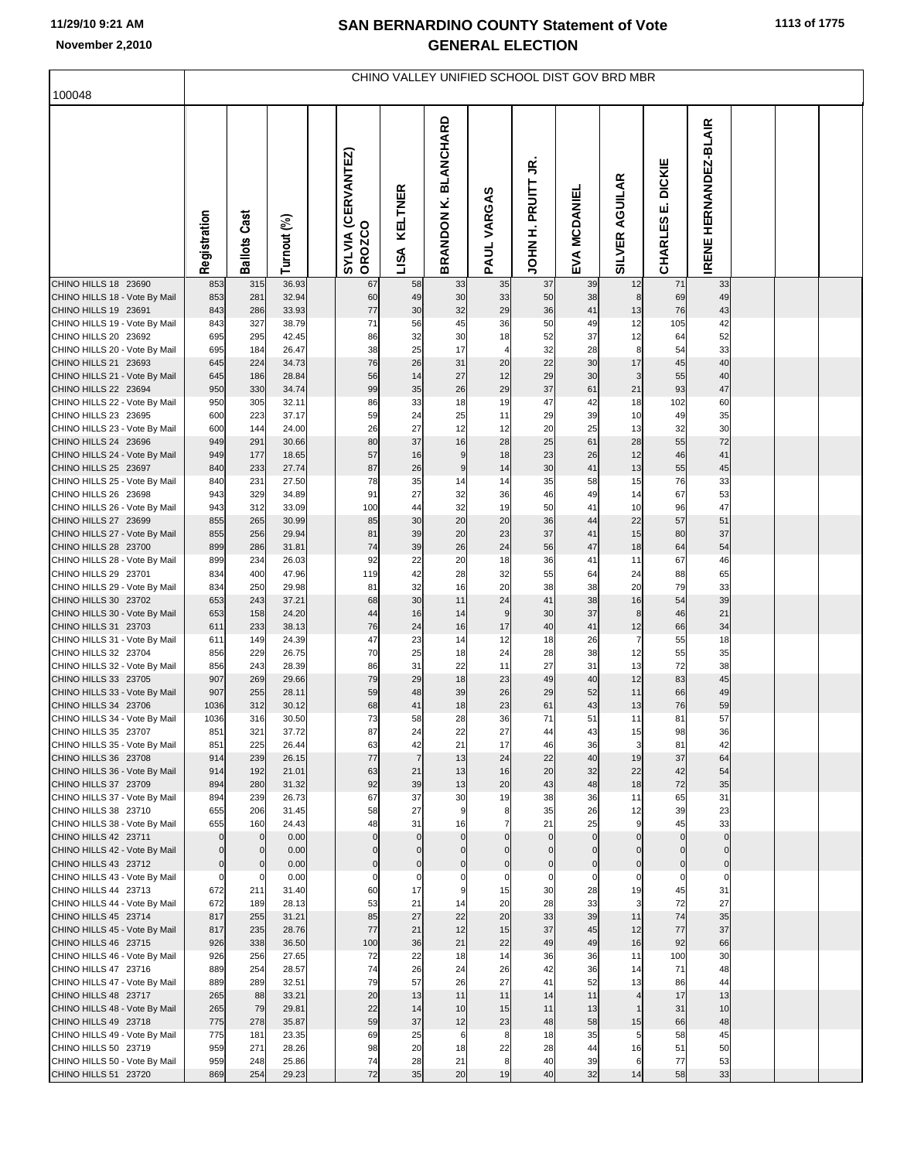| 100048                                                | CHINO VALLEY UNIFIED SCHOOL DIST GOV BRD MBR |                            |                |  |                                     |                             |                                |                       |                            |                            |                                 |                                           |                                 |  |  |  |
|-------------------------------------------------------|----------------------------------------------|----------------------------|----------------|--|-------------------------------------|-----------------------------|--------------------------------|-----------------------|----------------------------|----------------------------|---------------------------------|-------------------------------------------|---------------------------------|--|--|--|
|                                                       |                                              |                            |                |  |                                     |                             |                                |                       |                            |                            |                                 |                                           |                                 |  |  |  |
|                                                       | Registration                                 | <b>Ballots Cast</b>        | Turnout (%)    |  | SYLVIA (CERVANTEZ)<br><b>OROZCO</b> | <b>KELTNER</b><br>LISA      | <b>BLANCHARD</b><br>BRANDON K. | VARGAS<br><b>PAUL</b> | g<br>PRUITT<br><b>HINE</b> | EVA MCDANIEI               | <b>AGUILAR</b><br><b>SILVER</b> | <b>DICKIE</b><br>щі<br><b>83</b><br>CHARL | HERNANDEZ-BLAIR<br><b>IRENE</b> |  |  |  |
| CHINO HILLS 18 23690                                  | 853                                          | 315                        | 36.93          |  | 67                                  | 58                          | 33                             | 35                    | 37                         | 39                         | 12                              | 71                                        | 33                              |  |  |  |
| CHINO HILLS 18 - Vote By Mail<br>CHINO HILLS 19 23691 | 853<br>843                                   | 281<br>286                 | 32.94<br>33.93 |  | 60<br>$77 \,$                       | 49<br>30                    | 30<br>32                       | 33<br>29              | 50<br>36                   | 38<br>41                   | 8<br>13                         | 69<br>76                                  | 49<br>43                        |  |  |  |
| CHINO HILLS 19 - Vote By Mail                         | 843                                          | 327                        | 38.79          |  | 71                                  | 56                          | 45                             | 36                    | 50                         | 49                         | 12                              | 105                                       | 42                              |  |  |  |
| CHINO HILLS 20 23692<br>CHINO HILLS 20 - Vote By Mail | 695<br>695                                   | 295<br>184                 | 42.45<br>26.47 |  | 86<br>38                            | 32<br>25                    | 30<br>17                       | 18<br>$\overline{4}$  | 52<br>32                   | 37<br>28                   | 12<br>8                         | 64<br>54                                  | 52<br>33                        |  |  |  |
| CHINO HILLS 21 23693                                  | 645                                          | 224                        | 34.73          |  | 76                                  | 26                          | 31                             | 20                    | 22                         | 30                         | 17                              | 45                                        | 40                              |  |  |  |
| CHINO HILLS 21 - Vote By Mail                         | 645                                          | 186                        | 28.84          |  | 56                                  | 14                          | 27                             | 12                    | 29                         | 30                         | 3                               | 55                                        | 40                              |  |  |  |
| CHINO HILLS 22 23694<br>CHINO HILLS 22 - Vote By Mail | 950<br>950                                   | 330<br>305                 | 34.74<br>32.11 |  | 99<br>86                            | 35<br>33                    | 26<br>18                       | 29<br>19              | 37<br>47                   | 61<br>42                   | 21<br>18                        | 93<br>102                                 | 47<br>60                        |  |  |  |
| CHINO HILLS 23 23695                                  | 600                                          | 223                        | 37.17          |  | 59                                  | 24                          | 25                             | 11                    | 29                         | 39                         | 10                              | 49                                        | 35                              |  |  |  |
| CHINO HILLS 23 - Vote By Mail                         | 600                                          | 144                        | 24.00          |  | 26<br>80                            | 27<br>37                    | 12                             | 12<br>28              | 20                         | 25<br>61                   | 13                              | 32                                        | 30                              |  |  |  |
| CHINO HILLS 24 23696<br>CHINO HILLS 24 - Vote By Mail | 949<br>949                                   | 291<br>177                 | 30.66<br>18.65 |  | 57                                  | 16                          | 16<br>9                        | 18                    | 25<br>23                   | 26                         | 28<br>12                        | 55<br>46                                  | 72<br>41                        |  |  |  |
| CHINO HILLS 25 23697                                  | 840                                          | 233                        | 27.74          |  | 87                                  | 26                          | 9                              | 14                    | 30                         | 41                         | 13                              | 55                                        | 45                              |  |  |  |
| CHINO HILLS 25 - Vote By Mail<br>CHINO HILLS 26 23698 | 840                                          | 231<br>329                 | 27.50<br>34.89 |  | 78<br>91                            | 35<br>27                    | 14<br>32                       | 14<br>36              | 35<br>46                   | 58                         | 15<br>14                        | 76<br>67                                  | 33<br>53                        |  |  |  |
| CHINO HILLS 26 - Vote By Mail                         | 943<br>943                                   | 312                        | 33.09          |  | 100                                 | 44                          | 32                             | 19                    | 50                         | 49<br>41                   | 10                              | 96                                        | 47                              |  |  |  |
| CHINO HILLS 27 23699                                  | 855                                          | 265                        | 30.99          |  | 85                                  | 30                          | 20                             | 20                    | 36                         | 44                         | 22                              | 57                                        | 51                              |  |  |  |
| CHINO HILLS 27 - Vote By Mail<br>CHINO HILLS 28 23700 | 855<br>899                                   | 256<br>286                 | 29.94<br>31.81 |  | 81<br>74                            | 39<br>39                    | 20<br>26                       | 23<br>24              | 37<br>56                   | 41<br>47                   | 15<br>18                        | 80<br>64                                  | 37<br>54                        |  |  |  |
| CHINO HILLS 28 - Vote By Mail                         | 899                                          | 234                        | 26.03          |  | 92                                  | 22                          | 20                             | 18                    | 36                         | 41                         | 11                              | 67                                        | 46                              |  |  |  |
| CHINO HILLS 29 23701                                  | 834                                          | 400                        | 47.96          |  | 119                                 | 42                          | 28                             | 32                    | 55                         | 64                         | 24                              | 88                                        | 65                              |  |  |  |
| CHINO HILLS 29 - Vote By Mail<br>CHINO HILLS 30 23702 | 834<br>653                                   | 250                        | 29.98<br>37.21 |  | 81<br>68                            | 32<br>30                    | 16<br>11                       | 20<br>24              | 38<br>41                   | 38<br>38                   | 20<br>16                        | 79                                        | 33<br>39                        |  |  |  |
| CHINO HILLS 30 - Vote By Mail                         | 653                                          | 243<br>158                 | 24.20          |  | 44                                  | 16                          | 14                             | 9                     | 30                         | 37                         | 8                               | 54<br>46                                  | 21                              |  |  |  |
| CHINO HILLS 31 23703                                  | 611                                          | 233                        | 38.13          |  | 76                                  | 24                          | 16                             | 17                    | 40                         | 41                         | 12                              | 66                                        | 34                              |  |  |  |
| CHINO HILLS 31 - Vote By Mail<br>CHINO HILLS 32 23704 | 611                                          | 149<br>229                 | 24.39<br>26.75 |  | 47<br>70                            | 23<br>25                    | 14<br>18                       | 12<br>24              | 18<br>28                   | 26<br>38                   | 7<br>12                         | 55                                        | 18                              |  |  |  |
| CHINO HILLS 32 - Vote By Mail                         | 856<br>856                                   | 243                        | 28.39          |  | 86                                  | 31                          | 22                             | 11                    | 27                         | 31                         | 13                              | 55<br>72                                  | 35<br>38                        |  |  |  |
| CHINO HILLS 33 23705                                  | 907                                          | 269                        | 29.66          |  | 79                                  | 29                          | 18                             | 23                    | 49                         | 40                         | 12                              | 83                                        | 45                              |  |  |  |
| CHINO HILLS 33 - Vote By Mail                         | 907                                          | 255                        | 28.11          |  | 59                                  | 48                          | 39                             | 26                    | 29                         | 52                         | 11                              | 66                                        | 49                              |  |  |  |
| CHINO HILLS 34 23706<br>CHINO HILLS 34 - Vote By Mail | 1036<br>1036                                 | 312<br>316                 | 30.12<br>30.50 |  | 68<br>73                            | 41<br>58                    | 18<br>28                       | 23<br>36              | 61<br>71                   | 43<br>51                   | 13<br>11                        | 76<br>81                                  | 59<br>57                        |  |  |  |
| CHINO HILLS 35 23707                                  | 851                                          | 321                        | 37.72          |  | 87                                  | 24                          | 22                             | 27                    | 44                         | 43                         | 15                              | 98                                        | 36                              |  |  |  |
| CHINO HILLS 35 - Vote By Mail<br>CHINO HILLS 36 23708 | 851<br>914                                   | 225<br>239                 | 26.44<br>26.15 |  | 63<br>77                            | 42<br>$\overline{7}$        | 21<br>13                       | 17<br>24              | 46<br>22                   | 36<br>40                   | 3<br>19                         | 81<br>37                                  | 42<br>64                        |  |  |  |
| CHINO HILLS 36 - Vote By Mail                         | 914                                          | 192                        | 21.01          |  | 63                                  | 21                          | 13                             | 16                    | 20                         | 32                         | 22                              | 42                                        | 54                              |  |  |  |
| CHINO HILLS 37 23709                                  | 894                                          | 280                        | 31.32          |  | 92                                  | 39                          | 13                             | 20                    | 43                         | 48                         | 18                              | 72                                        | 35                              |  |  |  |
| CHINO HILLS 37 - Vote By Mail<br>CHINO HILLS 38 23710 | 894<br>655                                   | 239<br>206                 | 26.73<br>31.45 |  | 67<br>58                            | 37<br>27                    | 30<br>9                        | 19<br>8               | 38<br>35                   | 36<br>26                   | 11<br>12                        | 65<br>39                                  | 31<br>23                        |  |  |  |
| CHINO HILLS 38 - Vote By Mail                         | 655                                          | 160                        | 24.43          |  | 48                                  | 31                          | 16                             | $\overline{7}$        | 21                         | 25                         | 9                               | 45                                        | 33                              |  |  |  |
| CHINO HILLS 42 23711                                  | $\mathbf{0}$                                 | $\mathbf 0$                | 0.00           |  | $\mathbf 0$                         | $\mathbf 0$                 | $\mathbf 0$                    | $\Omega$              | $\mathbf 0$                | $\mathbf{0}$               | $\Omega$                        | $\mathbf{0}$                              | $\Omega$                        |  |  |  |
| CHINO HILLS 42 - Vote By Mail<br>CHINO HILLS 43 23712 | $\mathbf 0$<br>$\mathbf 0$                   | $\mathbf 0$<br>$\mathbf 0$ | 0.00<br>0.00   |  | $\Omega$<br>$\overline{0}$          | $\mathbf{0}$<br>$\mathbf 0$ | $\Omega$<br>$\mathbf 0$        | $\Omega$<br>$\Omega$  | $\mathbf 0$<br>$\pmb{0}$   | $\mathbf 0$<br>$\mathbf 0$ | $\Omega$<br>$\mathbf 0$         | $\mathbf{0}$<br>$\mathbf 0$               | $\mathbf{0}$<br>$\mathbf{0}$    |  |  |  |
| CHINO HILLS 43 - Vote By Mail                         | $\overline{0}$                               | $\mathbf 0$                | 0.00           |  | $\mathbf 0$                         | $\mathbf 0$                 | $\mathbf 0$                    | $\mathbf 0$           | $\mathbf 0$                | $\mathbf 0$                | $\mathbf 0$                     | $\mathbf 0$                               | $\mathbf 0$                     |  |  |  |
| CHINO HILLS 44 23713                                  | 672                                          | 211                        | 31.40          |  | 60                                  | 17                          | 9                              | 15                    | 30                         | 28                         | 19                              | 45                                        | 31                              |  |  |  |
| CHINO HILLS 44 - Vote By Mail<br>CHINO HILLS 45 23714 | 672<br>817                                   | 189<br>255                 | 28.13<br>31.21 |  | 53<br>85                            | 21<br>27                    | 14<br>22                       | 20<br>20              | 28<br>33                   | 33<br>39                   | 3<br>11                         | 72<br>74                                  | 27<br>35                        |  |  |  |
| CHINO HILLS 45 - Vote By Mail                         | 817                                          | 235                        | 28.76          |  | 77                                  | 21                          | 12                             | 15                    | 37                         | 45                         | 12                              | 77                                        | 37                              |  |  |  |
| CHINO HILLS 46 23715                                  | 926                                          | 338                        | 36.50          |  | 100                                 | 36                          | 21                             | 22                    | 49                         | 49                         | 16                              | 92                                        | 66                              |  |  |  |
| CHINO HILLS 46 - Vote By Mail<br>CHINO HILLS 47 23716 | 926<br>889                                   | 256<br>254                 | 27.65<br>28.57 |  | 72<br>74                            | 22<br>26                    | 18<br>24                       | 14<br>26              | 36<br>42                   | 36<br>36                   | 11<br>14                        | 100<br>71                                 | 30<br>48                        |  |  |  |
| CHINO HILLS 47 - Vote By Mail                         | 889                                          | 289                        | 32.51          |  | 79                                  | 57                          | 26                             | 27                    | 41                         | 52                         | 13                              | 86                                        | 44                              |  |  |  |
| CHINO HILLS 48 23717                                  | 265                                          | 88                         | 33.21          |  | 20                                  | 13                          | 11                             | 11                    | 14                         | 11                         | $\overline{4}$                  | 17                                        | 13                              |  |  |  |
| CHINO HILLS 48 - Vote By Mail                         | 265<br>775                                   | 79                         | 29.81<br>35.87 |  | 22<br>59                            | 14<br>37                    | 10<br>12                       | 15<br>23              | 11<br>48                   | 13<br>58                   |                                 | 31<br>66                                  | 10<br>48                        |  |  |  |
| CHINO HILLS 49 23718<br>CHINO HILLS 49 - Vote By Mail | 775                                          | 278<br>181                 | 23.35          |  | 69                                  | 25                          | 6                              | 8                     | 18                         | 35                         | 15<br>5                         | 58                                        | 45                              |  |  |  |
| CHINO HILLS 50 23719                                  | 959                                          | 271                        | 28.26          |  | 98                                  | 20                          | 18                             | 22                    | 28                         | 44                         | 16                              | 51                                        | 50                              |  |  |  |
| CHINO HILLS 50 - Vote By Mail                         | 959                                          | 248                        | 25.86          |  | 74                                  | 28                          | 21                             | 8                     | 40                         | 39                         | 6                               | 77                                        | 53                              |  |  |  |
| CHINO HILLS 51 23720                                  | 869                                          | 254                        | 29.23          |  | 72                                  | 35                          | 20                             | 19                    | 40                         | 32                         | 14                              | 58                                        | 33                              |  |  |  |